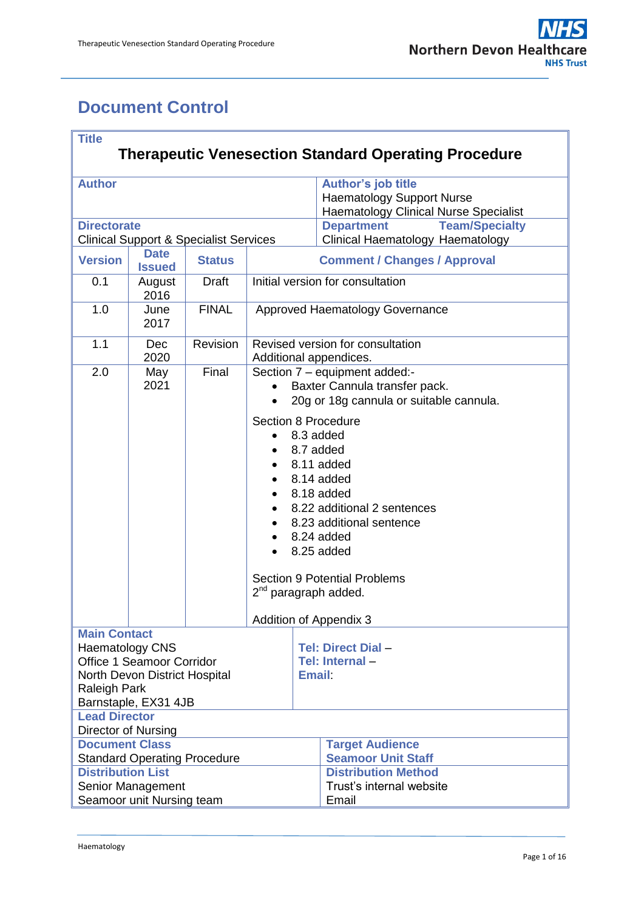## <span id="page-0-0"></span>**Document Control**

| <b>Title</b>                                                |                           |                                                   |                             |                                              |                                                            |  |  |
|-------------------------------------------------------------|---------------------------|---------------------------------------------------|-----------------------------|----------------------------------------------|------------------------------------------------------------|--|--|
| <b>Therapeutic Venesection Standard Operating Procedure</b> |                           |                                                   |                             |                                              |                                                            |  |  |
|                                                             |                           |                                                   |                             |                                              |                                                            |  |  |
| <b>Author</b>                                               |                           |                                                   | <b>Author's job title</b>   |                                              |                                                            |  |  |
|                                                             |                           |                                                   |                             |                                              | <b>Haematology Support Nurse</b>                           |  |  |
| <b>Directorate</b>                                          |                           |                                                   |                             | <b>Haematology Clinical Nurse Specialist</b> |                                                            |  |  |
|                                                             |                           |                                                   |                             | <b>Department</b><br><b>Team/Specialty</b>   |                                                            |  |  |
|                                                             | <b>Date</b>               | <b>Clinical Support &amp; Specialist Services</b> |                             |                                              | Clinical Haematology Haematology                           |  |  |
| <b>Version</b>                                              | <b>Issued</b>             | <b>Status</b>                                     |                             |                                              | <b>Comment / Changes / Approval</b>                        |  |  |
| 0.1                                                         | August<br>2016            | <b>Draft</b>                                      |                             |                                              | Initial version for consultation                           |  |  |
| 1.0                                                         | June<br>2017              | <b>FINAL</b>                                      |                             |                                              | Approved Haematology Governance                            |  |  |
| 1.1                                                         | Dec<br>2020               | Revision                                          |                             |                                              | Revised version for consultation<br>Additional appendices. |  |  |
| 2.0                                                         | May                       | Final                                             |                             |                                              | Section 7 - equipment added:-                              |  |  |
|                                                             | 2021                      |                                                   |                             |                                              | Baxter Cannula transfer pack.                              |  |  |
|                                                             |                           |                                                   |                             |                                              | 20g or 18g cannula or suitable cannula.                    |  |  |
|                                                             |                           |                                                   |                             |                                              | <b>Section 8 Procedure</b>                                 |  |  |
|                                                             |                           |                                                   |                             |                                              | 8.3 added                                                  |  |  |
|                                                             |                           |                                                   |                             |                                              |                                                            |  |  |
|                                                             |                           |                                                   | 8.7 added<br>8.11 added     |                                              |                                                            |  |  |
|                                                             |                           |                                                   |                             |                                              | 8.14 added                                                 |  |  |
|                                                             |                           |                                                   | 8.18 added                  |                                              |                                                            |  |  |
|                                                             |                           |                                                   | 8.22 additional 2 sentences |                                              |                                                            |  |  |
|                                                             |                           |                                                   | 8.23 additional sentence    |                                              |                                                            |  |  |
|                                                             |                           |                                                   | 8.24 added                  |                                              |                                                            |  |  |
|                                                             |                           |                                                   |                             |                                              | 8.25 added                                                 |  |  |
|                                                             |                           |                                                   |                             |                                              |                                                            |  |  |
|                                                             |                           |                                                   |                             |                                              | <b>Section 9 Potential Problems</b>                        |  |  |
|                                                             |                           |                                                   |                             |                                              | 2 <sup>nd</sup> paragraph added.                           |  |  |
|                                                             |                           |                                                   |                             |                                              |                                                            |  |  |
|                                                             |                           |                                                   |                             |                                              | <b>Addition of Appendix 3</b>                              |  |  |
| <b>Main Contact</b>                                         |                           |                                                   |                             |                                              |                                                            |  |  |
| <b>Haematology CNS</b>                                      |                           |                                                   |                             |                                              | Tel: Direct Dial -                                         |  |  |
|                                                             | Office 1 Seamoor Corridor |                                                   |                             | Tel: Internal-                               |                                                            |  |  |
| North Devon District Hospital                               |                           |                                                   |                             | Email:                                       |                                                            |  |  |
| <b>Raleigh Park</b><br>Barnstaple, EX31 4JB                 |                           |                                                   |                             |                                              |                                                            |  |  |
| <b>Lead Director</b>                                        |                           |                                                   |                             |                                              |                                                            |  |  |
| Director of Nursing                                         |                           |                                                   |                             |                                              |                                                            |  |  |
| <b>Document Class</b>                                       |                           |                                                   |                             |                                              | <b>Target Audience</b>                                     |  |  |
| <b>Standard Operating Procedure</b>                         |                           |                                                   |                             |                                              | <b>Seamoor Unit Staff</b>                                  |  |  |
| <b>Distribution List</b>                                    |                           |                                                   |                             |                                              | <b>Distribution Method</b>                                 |  |  |
| Senior Management                                           |                           |                                                   |                             |                                              | Trust's internal website                                   |  |  |
| Seamoor unit Nursing team                                   |                           |                                                   |                             | Email                                        |                                                            |  |  |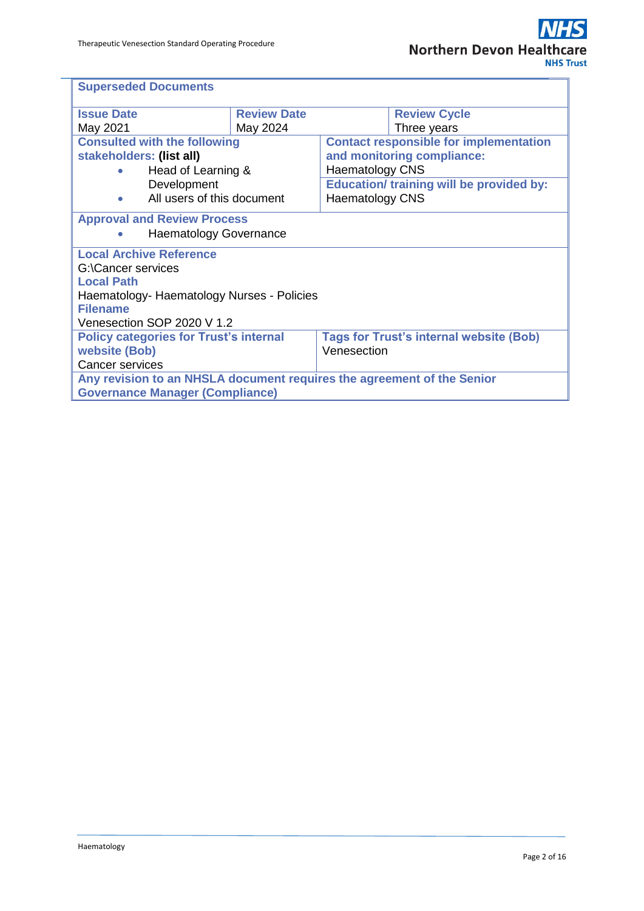| <b>Superseded Documents</b>                                            |                    |                                                |                                                 |  |
|------------------------------------------------------------------------|--------------------|------------------------------------------------|-------------------------------------------------|--|
| <b>Issue Date</b>                                                      | <b>Review Date</b> |                                                | <b>Review Cycle</b>                             |  |
| May 2021                                                               | May 2024           |                                                | Three years                                     |  |
| <b>Consulted with the following</b>                                    |                    | <b>Contact responsible for implementation</b>  |                                                 |  |
| stakeholders: (list all)                                               |                    | and monitoring compliance:                     |                                                 |  |
| Head of Learning &                                                     |                    | <b>Haematology CNS</b>                         |                                                 |  |
| Development                                                            |                    |                                                | <b>Education/ training will be provided by:</b> |  |
| All users of this document<br>$\bullet$                                |                    | <b>Haematology CNS</b>                         |                                                 |  |
| <b>Approval and Review Process</b><br><b>Haematology Governance</b>    |                    |                                                |                                                 |  |
| <b>Local Archive Reference</b>                                         |                    |                                                |                                                 |  |
| G:\Cancer services                                                     |                    |                                                |                                                 |  |
| <b>Local Path</b>                                                      |                    |                                                |                                                 |  |
| Haematology- Haematology Nurses - Policies                             |                    |                                                |                                                 |  |
| <b>Filename</b>                                                        |                    |                                                |                                                 |  |
| Venesection SOP 2020 V 1.2                                             |                    |                                                |                                                 |  |
| <b>Policy categories for Trust's internal</b>                          |                    | <b>Tags for Trust's internal website (Bob)</b> |                                                 |  |
| website (Bob)                                                          |                    | Venesection                                    |                                                 |  |
| <b>Cancer services</b>                                                 |                    |                                                |                                                 |  |
| Any revision to an NHSLA document requires the agreement of the Senior |                    |                                                |                                                 |  |
| <b>Governance Manager (Compliance)</b>                                 |                    |                                                |                                                 |  |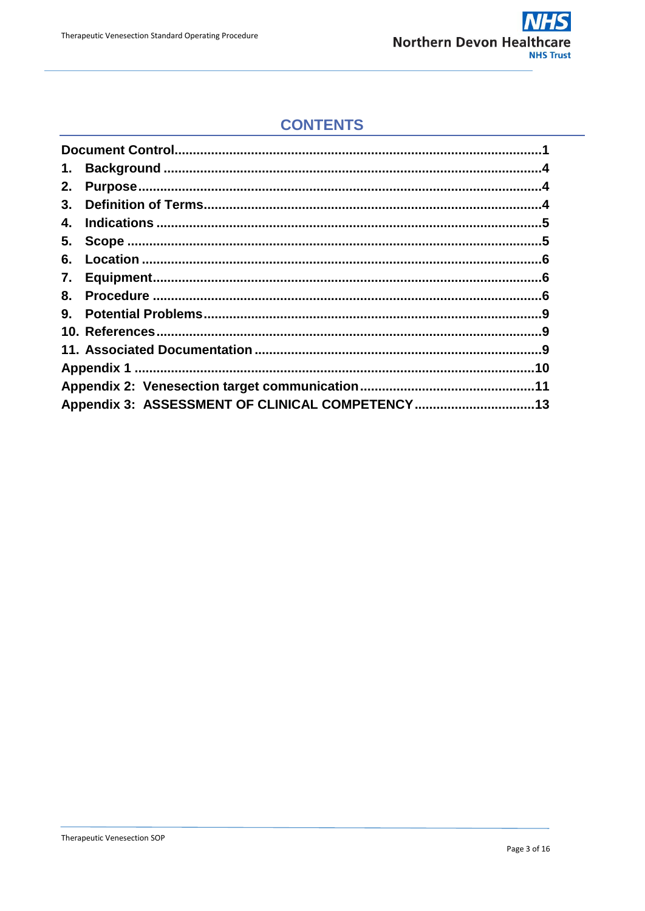

### **CONTENTS**

| 1.                                              |  |
|-------------------------------------------------|--|
| 2.                                              |  |
| 3.                                              |  |
| 4.                                              |  |
|                                                 |  |
| 6.                                              |  |
|                                                 |  |
| 8.                                              |  |
| 9.                                              |  |
|                                                 |  |
|                                                 |  |
|                                                 |  |
|                                                 |  |
| Appendix 3: ASSESSMENT OF CLINICAL COMPETENCY13 |  |
|                                                 |  |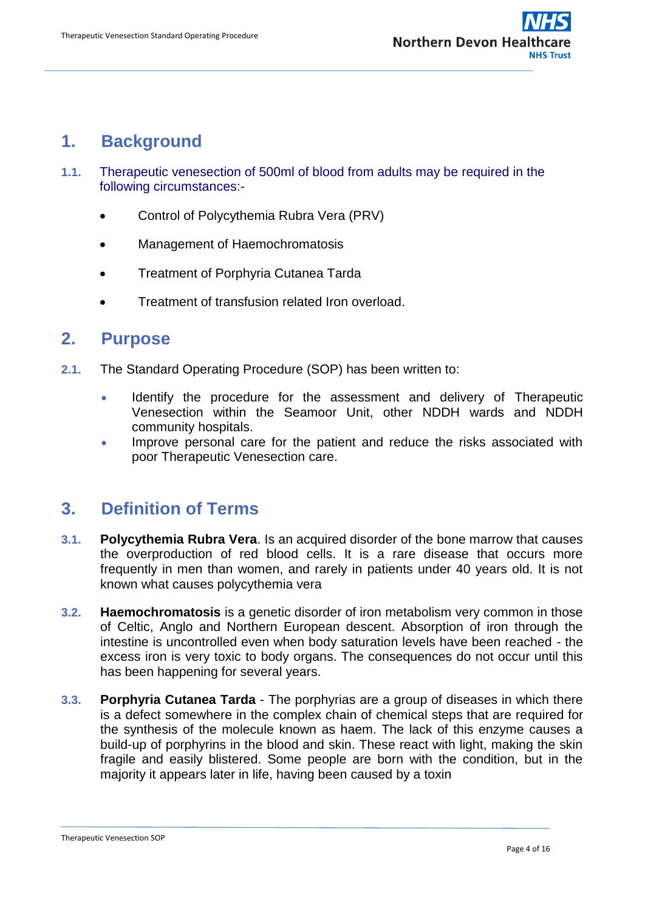## <span id="page-3-0"></span>**1. Background**

- **1.1.** Therapeutic venesection of 500ml of blood from adults may be required in the following circumstances:-
	- Control of Polycythemia Rubra Vera (PRV)
	- Management of Haemochromatosis
	- Treatment of Porphyria Cutanea Tarda
	- Treatment of transfusion related Iron overload.

#### <span id="page-3-1"></span>**2. Purpose**

- **2.1.** The Standard Operating Procedure (SOP) has been written to:
	- Identify the procedure for the assessment and delivery of Therapeutic Venesection within the Seamoor Unit, other NDDH wards and NDDH community hospitals.
	- Improve personal care for the patient and reduce the risks associated with poor Therapeutic Venesection care.

## <span id="page-3-2"></span>**3. Definition of Terms**

- **3.1. Polycythemia Rubra Vera**. Is an acquired disorder of the bone marrow that causes the overproduction of red blood cells. It is a rare disease that occurs more frequently in men than women, and rarely in patients under 40 years old. It is not known what causes polycythemia vera
- **3.2. Haemochromatosis** is a genetic disorder of iron metabolism very common in those of Celtic, Anglo and Northern European descent. Absorption of iron through the intestine is uncontrolled even when body saturation levels have been reached - the excess iron is very toxic to body organs. The consequences do not occur until this has been happening for several years.
- **3.3. Porphyria Cutanea Tarda** The porphyrias are a group of diseases in which there is a defect somewhere in the complex chain of chemical steps that are required for the synthesis of the molecule known as haem. The lack of this enzyme causes a build-up of porphyrins in the blood and skin. These react with light, making the skin fragile and easily blistered. Some people are born with the condition, but in the majority it appears later in life, having been caused by a toxin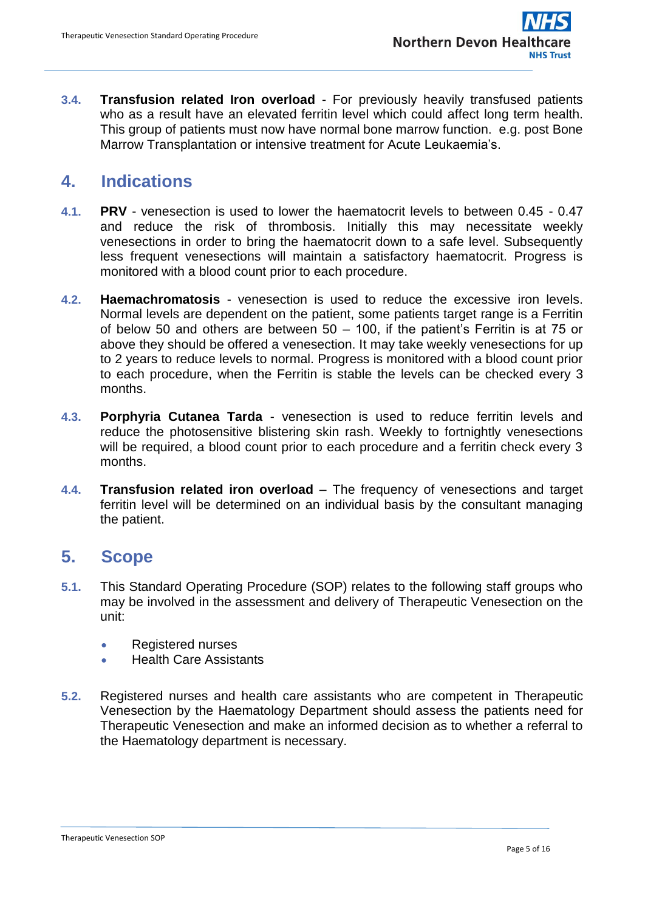**3.4. Transfusion related Iron overload** - For previously heavily transfused patients who as a result have an elevated ferritin level which could affect long term health. This group of patients must now have normal bone marrow function. e.g. post Bone Marrow Transplantation or intensive treatment for Acute Leukaemia's.

## <span id="page-4-0"></span>**4. Indications**

- **4.1. PRV** venesection is used to lower the haematocrit levels to between 0.45 0.47 and reduce the risk of thrombosis. Initially this may necessitate weekly venesections in order to bring the haematocrit down to a safe level. Subsequently less frequent venesections will maintain a satisfactory haematocrit. Progress is monitored with a blood count prior to each procedure.
- **4.2. Haemachromatosis**  venesection is used to reduce the excessive iron levels. Normal levels are dependent on the patient, some patients target range is a Ferritin of below 50 and others are between  $50 - 100$ , if the patient's Ferritin is at 75 or above they should be offered a venesection. It may take weekly venesections for up to 2 years to reduce levels to normal. Progress is monitored with a blood count prior to each procedure, when the Ferritin is stable the levels can be checked every 3 months.
- **4.3. Porphyria Cutanea Tarda** venesection is used to reduce ferritin levels and reduce the photosensitive blistering skin rash. Weekly to fortnightly venesections will be required, a blood count prior to each procedure and a ferritin check every 3 months.
- **4.4. Transfusion related iron overload** The frequency of venesections and target ferritin level will be determined on an individual basis by the consultant managing the patient.

## <span id="page-4-1"></span>**5. Scope**

- **5.1.** This Standard Operating Procedure (SOP) relates to the following staff groups who may be involved in the assessment and delivery of Therapeutic Venesection on the unit:
	- Registered nurses
	- Health Care Assistants
- **5.2.** Registered nurses and health care assistants who are competent in Therapeutic Venesection by the Haematology Department should assess the patients need for Therapeutic Venesection and make an informed decision as to whether a referral to the Haematology department is necessary.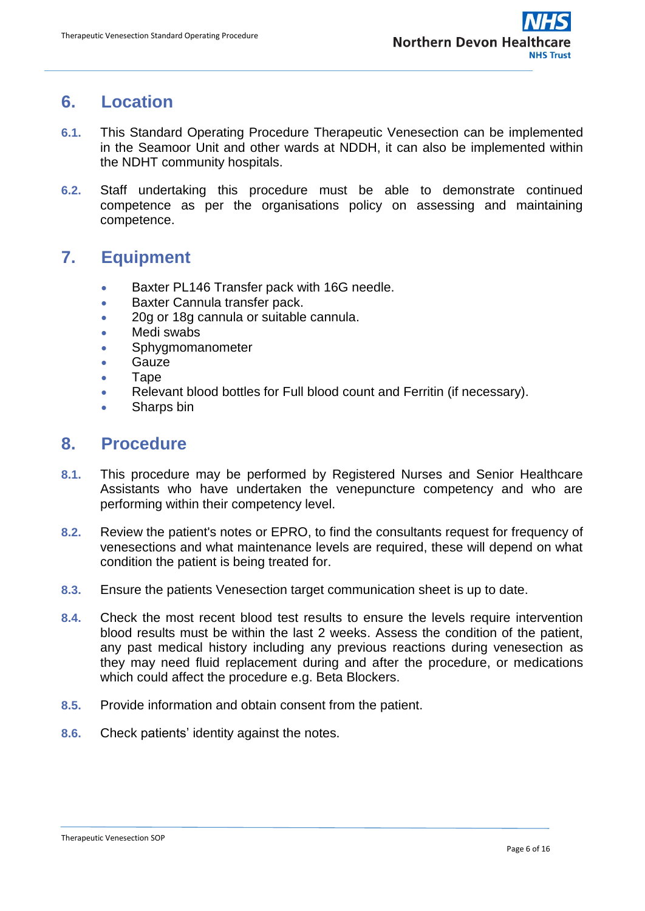### <span id="page-5-0"></span>**6. Location**

- **6.1.** This Standard Operating Procedure Therapeutic Venesection can be implemented in the Seamoor Unit and other wards at NDDH, it can also be implemented within the NDHT community hospitals.
- **6.2.** Staff undertaking this procedure must be able to demonstrate continued competence as per the organisations policy on assessing and maintaining competence.

## <span id="page-5-1"></span>**7. Equipment**

- Baxter PL146 Transfer pack with 16G needle.
- **Baxter Cannula transfer pack.**
- 20g or 18g cannula or suitable cannula.
- Medi swabs
- Sphygmomanometer
- Gauze
- Tape
- Relevant blood bottles for Full blood count and Ferritin (if necessary).
- Sharps bin

#### <span id="page-5-2"></span>**8. Procedure**

- **8.1.** This procedure may be performed by Registered Nurses and Senior Healthcare Assistants who have undertaken the venepuncture competency and who are performing within their competency level.
- **8.2.** Review the patient's notes or EPRO, to find the consultants request for frequency of venesections and what maintenance levels are required, these will depend on what condition the patient is being treated for.
- **8.3.** Ensure the patients Venesection target communication sheet is up to date.
- **8.4.** Check the most recent blood test results to ensure the levels require intervention blood results must be within the last 2 weeks. Assess the condition of the patient, any past medical history including any previous reactions during venesection as they may need fluid replacement during and after the procedure, or medications which could affect the procedure e.g. Beta Blockers.
- **8.5.** Provide information and obtain consent from the patient.
- **8.6.** Check patients' identity against the notes.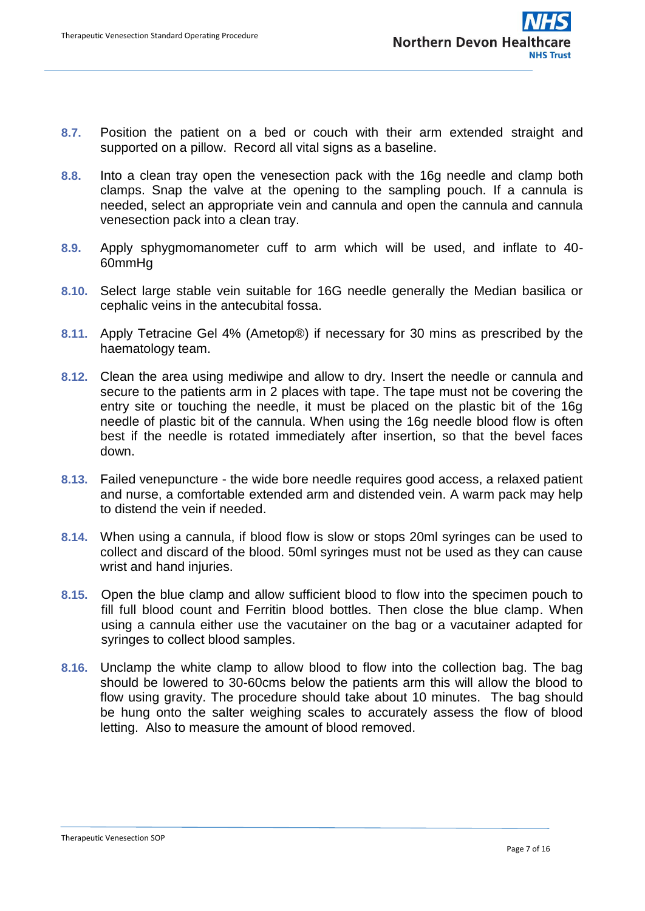- **8.7.** Position the patient on a bed or couch with their arm extended straight and supported on a pillow. Record all vital signs as a baseline.
- **8.8.** Into a clean tray open the venesection pack with the 16g needle and clamp both clamps. Snap the valve at the opening to the sampling pouch. If a cannula is needed, select an appropriate vein and cannula and open the cannula and cannula venesection pack into a clean tray.
- **8.9.** Apply sphygmomanometer cuff to arm which will be used, and inflate to 40- 60mmHg
- **8.10.** Select large stable vein suitable for 16G needle generally the Median basilica or cephalic veins in the antecubital fossa.
- **8.11.** Apply Tetracine Gel 4% (Ametop®) if necessary for 30 mins as prescribed by the haematology team.
- **8.12.** Clean the area using mediwipe and allow to dry. Insert the needle or cannula and secure to the patients arm in 2 places with tape. The tape must not be covering the entry site or touching the needle, it must be placed on the plastic bit of the 16g needle of plastic bit of the cannula. When using the 16g needle blood flow is often best if the needle is rotated immediately after insertion, so that the bevel faces down.
- **8.13.** Failed venepuncture the wide bore needle requires good access, a relaxed patient and nurse, a comfortable extended arm and distended vein. A warm pack may help to distend the vein if needed.
- **8.14.** When using a cannula, if blood flow is slow or stops 20ml syringes can be used to collect and discard of the blood. 50ml syringes must not be used as they can cause wrist and hand injuries.
- **8.15.** Open the blue clamp and allow sufficient blood to flow into the specimen pouch to fill full blood count and Ferritin blood bottles. Then close the blue clamp. When using a cannula either use the vacutainer on the bag or a vacutainer adapted for syringes to collect blood samples.
- **8.16.** Unclamp the white clamp to allow blood to flow into the collection bag. The bag should be lowered to 30-60cms below the patients arm this will allow the blood to flow using gravity. The procedure should take about 10 minutes. The bag should be hung onto the salter weighing scales to accurately assess the flow of blood letting. Also to measure the amount of blood removed.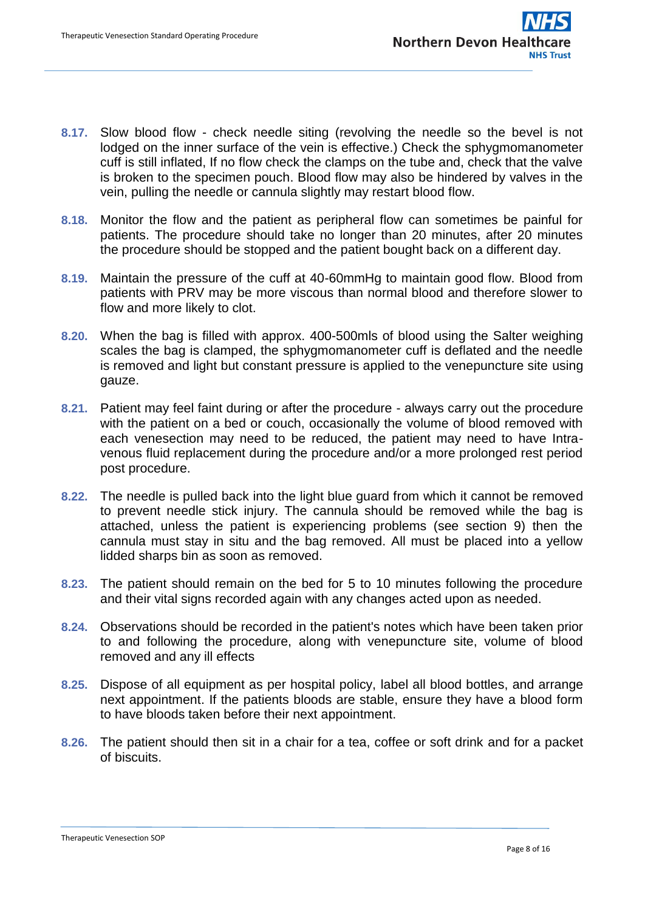- **8.17.** Slow blood flow check needle siting (revolving the needle so the bevel is not lodged on the inner surface of the vein is effective.) Check the sphygmomanometer cuff is still inflated, If no flow check the clamps on the tube and, check that the valve is broken to the specimen pouch. Blood flow may also be hindered by valves in the vein, pulling the needle or cannula slightly may restart blood flow.
- **8.18.** Monitor the flow and the patient as peripheral flow can sometimes be painful for patients. The procedure should take no longer than 20 minutes, after 20 minutes the procedure should be stopped and the patient bought back on a different day.
- **8.19.** Maintain the pressure of the cuff at 40-60mmHg to maintain good flow. Blood from patients with PRV may be more viscous than normal blood and therefore slower to flow and more likely to clot.
- **8.20.** When the bag is filled with approx. 400-500mls of blood using the Salter weighing scales the bag is clamped, the sphygmomanometer cuff is deflated and the needle is removed and light but constant pressure is applied to the venepuncture site using gauze.
- **8.21.** Patient may feel faint during or after the procedure always carry out the procedure with the patient on a bed or couch, occasionally the volume of blood removed with each venesection may need to be reduced, the patient may need to have Intravenous fluid replacement during the procedure and/or a more prolonged rest period post procedure.
- **8.22.** The needle is pulled back into the light blue guard from which it cannot be removed to prevent needle stick injury. The cannula should be removed while the bag is attached, unless the patient is experiencing problems (see section 9) then the cannula must stay in situ and the bag removed. All must be placed into a yellow lidded sharps bin as soon as removed.
- **8.23.** The patient should remain on the bed for 5 to 10 minutes following the procedure and their vital signs recorded again with any changes acted upon as needed.
- **8.24.** Observations should be recorded in the patient's notes which have been taken prior to and following the procedure, along with venepuncture site, volume of blood removed and any ill effects
- **8.25.** Dispose of all equipment as per hospital policy, label all blood bottles, and arrange next appointment. If the patients bloods are stable, ensure they have a blood form to have bloods taken before their next appointment.
- **8.26.** The patient should then sit in a chair for a tea, coffee or soft drink and for a packet of biscuits.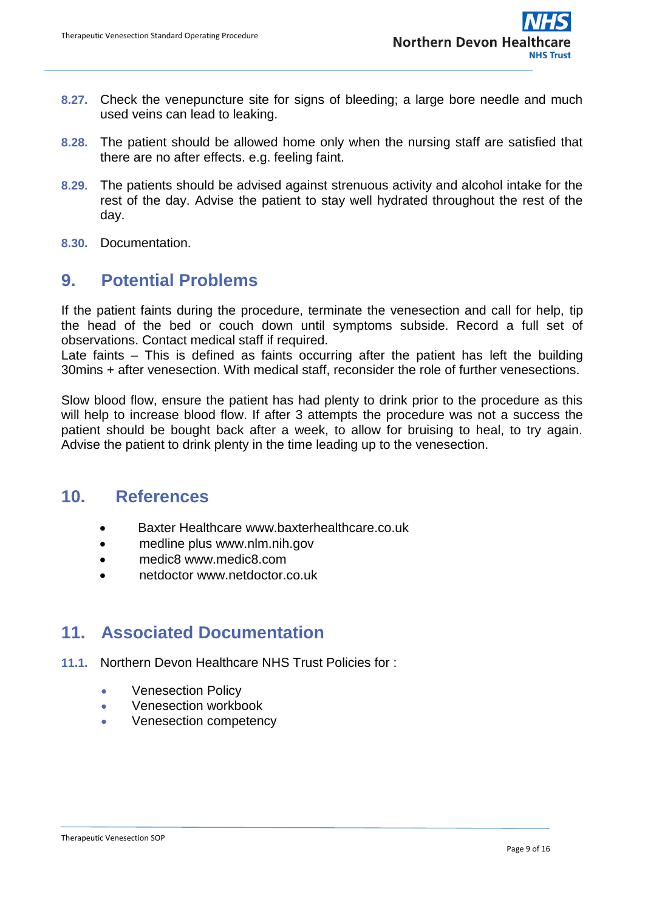- **8.27.** Check the venepuncture site for signs of bleeding; a large bore needle and much used veins can lead to leaking.
- **8.28.** The patient should be allowed home only when the nursing staff are satisfied that there are no after effects. e.g. feeling faint.
- **8.29.** The patients should be advised against strenuous activity and alcohol intake for the rest of the day. Advise the patient to stay well hydrated throughout the rest of the day.
- **8.30.** Documentation.

## <span id="page-8-0"></span>**9. Potential Problems**

If the patient faints during the procedure, terminate the venesection and call for help, tip the head of the bed or couch down until symptoms subside. Record a full set of observations. Contact medical staff if required.

Late faints – This is defined as faints occurring after the patient has left the building 30mins + after venesection. With medical staff, reconsider the role of further venesections.

Slow blood flow, ensure the patient has had plenty to drink prior to the procedure as this will help to increase blood flow. If after 3 attempts the procedure was not a success the patient should be bought back after a week, to allow for bruising to heal, to try again. Advise the patient to drink plenty in the time leading up to the venesection.

#### **10. References**

- <span id="page-8-1"></span>Baxter Healthcare www.baxterhealthcare.co.uk
- medline plus www.nlm.nih.gov
- medic8 www.medic8.com
- netdoctor www.netdoctor.co.uk

#### <span id="page-8-2"></span>**11. Associated Documentation**

- **11.1.** Northern Devon Healthcare NHS Trust Policies for :
	- Venesection Policy
	- Venesection workbook
	- Venesection competency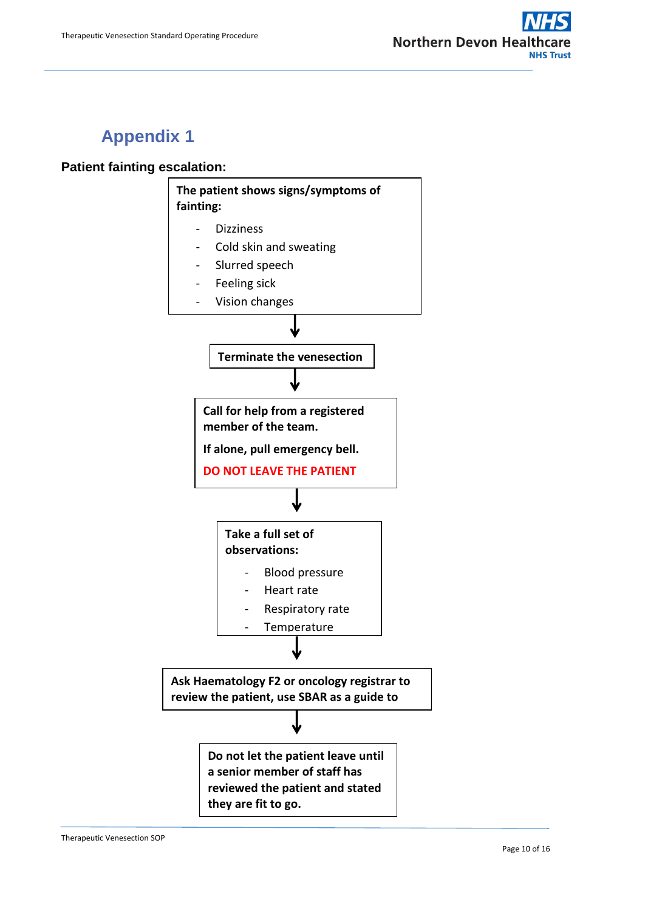# <span id="page-9-0"></span>**Appendix 1**

#### **Patient fainting escalation:**

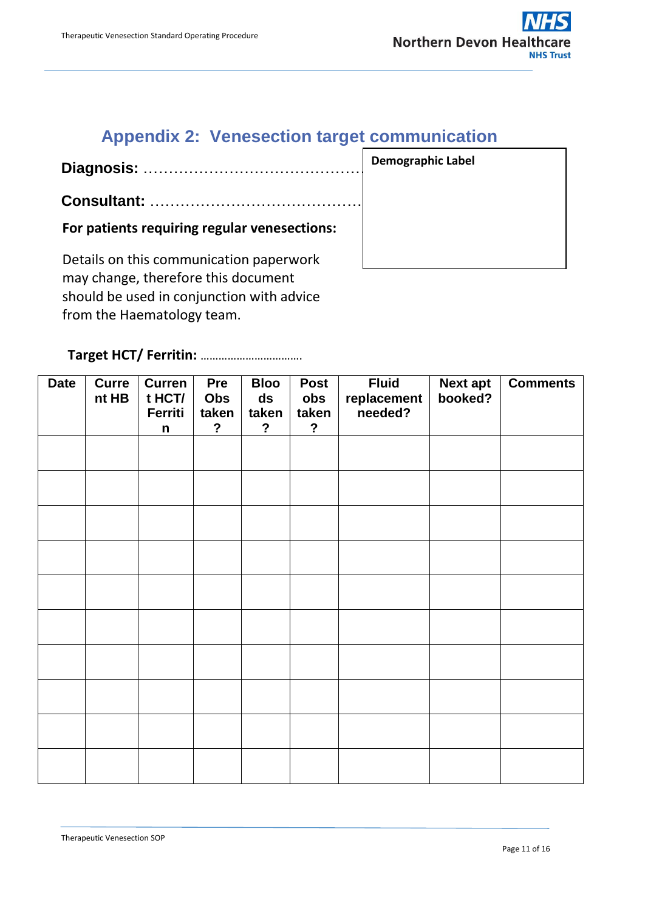## **Appendix 2: Venesection target communication**

<span id="page-10-0"></span>**Diagnosis:** ………………………………………..

**Consultant:** ……………………………………..

**For patients requiring regular venesections:**

Details on this communication paperwork may change, therefore this document should be used in conjunction with advice from the Haematology team.

#### **Target HCT/ Ferritin:** …………………………….

| <b>Date</b> | <b>Curre</b><br>nt HB | <b>Curren</b><br>t HCT/<br>Ferriti<br>$\mathsf{n}$ | Pre<br>Obs<br>taken<br>$\overline{?}$ | <b>Bloo</b><br>ds<br>taken<br>$\overline{?}$ | <b>Post</b><br>obs<br>taken<br>$\overline{?}$ | <b>Fluid</b><br>replacement<br>needed? | <b>Next apt</b><br>booked? | <b>Comments</b> |
|-------------|-----------------------|----------------------------------------------------|---------------------------------------|----------------------------------------------|-----------------------------------------------|----------------------------------------|----------------------------|-----------------|
|             |                       |                                                    |                                       |                                              |                                               |                                        |                            |                 |
|             |                       |                                                    |                                       |                                              |                                               |                                        |                            |                 |
|             |                       |                                                    |                                       |                                              |                                               |                                        |                            |                 |
|             |                       |                                                    |                                       |                                              |                                               |                                        |                            |                 |
|             |                       |                                                    |                                       |                                              |                                               |                                        |                            |                 |
|             |                       |                                                    |                                       |                                              |                                               |                                        |                            |                 |
|             |                       |                                                    |                                       |                                              |                                               |                                        |                            |                 |
|             |                       |                                                    |                                       |                                              |                                               |                                        |                            |                 |
|             |                       |                                                    |                                       |                                              |                                               |                                        |                            |                 |
|             |                       |                                                    |                                       |                                              |                                               |                                        |                            |                 |

**Demographic Label**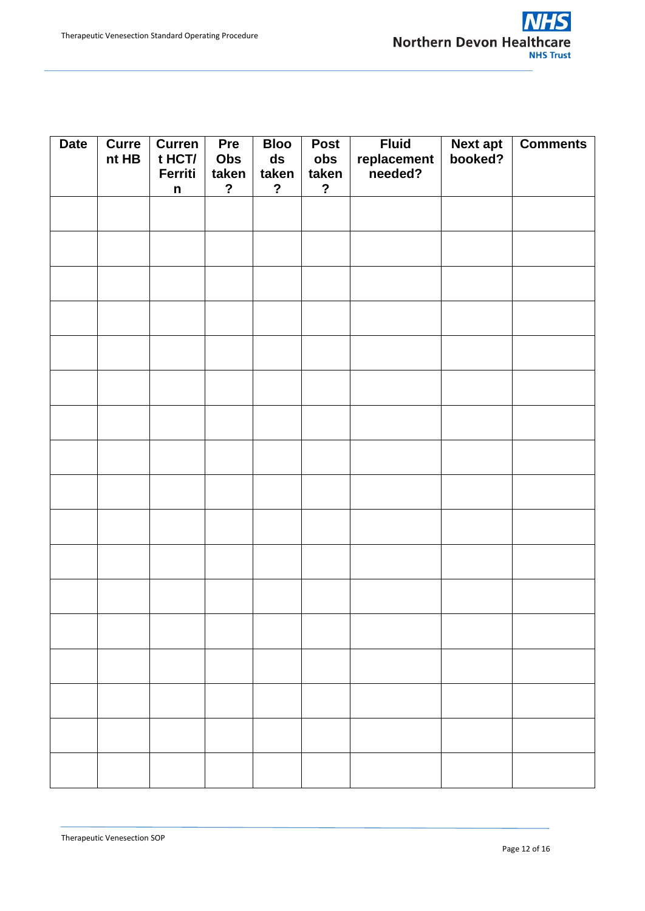| <b>Date</b> | <b>Curre</b><br>nt HB | <b>Curren</b><br>t HCT/ | Pre<br>Obs                   | <b>Bloo</b><br>$\boldsymbol{ds}$ | <b>Post</b><br>obs      | <b>Fluid</b><br>replacement<br>needed? | Next apt<br>booked? | <b>Comments</b> |
|-------------|-----------------------|-------------------------|------------------------------|----------------------------------|-------------------------|----------------------------------------|---------------------|-----------------|
|             |                       | Ferriti<br>n            | taken<br>$\ddot{\textbf{?}}$ | taken<br>$\ddot{\phantom{0}}$    | taken<br>$\overline{?}$ |                                        |                     |                 |
|             |                       |                         |                              |                                  |                         |                                        |                     |                 |
|             |                       |                         |                              |                                  |                         |                                        |                     |                 |
|             |                       |                         |                              |                                  |                         |                                        |                     |                 |
|             |                       |                         |                              |                                  |                         |                                        |                     |                 |
|             |                       |                         |                              |                                  |                         |                                        |                     |                 |
|             |                       |                         |                              |                                  |                         |                                        |                     |                 |
|             |                       |                         |                              |                                  |                         |                                        |                     |                 |
|             |                       |                         |                              |                                  |                         |                                        |                     |                 |
|             |                       |                         |                              |                                  |                         |                                        |                     |                 |
|             |                       |                         |                              |                                  |                         |                                        |                     |                 |
|             |                       |                         |                              |                                  |                         |                                        |                     |                 |
|             |                       |                         |                              |                                  |                         |                                        |                     |                 |
|             |                       |                         |                              |                                  |                         |                                        |                     |                 |
|             |                       |                         |                              |                                  |                         |                                        |                     |                 |
|             |                       |                         |                              |                                  |                         |                                        |                     |                 |
|             |                       |                         |                              |                                  |                         |                                        |                     |                 |
|             |                       |                         |                              |                                  |                         |                                        |                     |                 |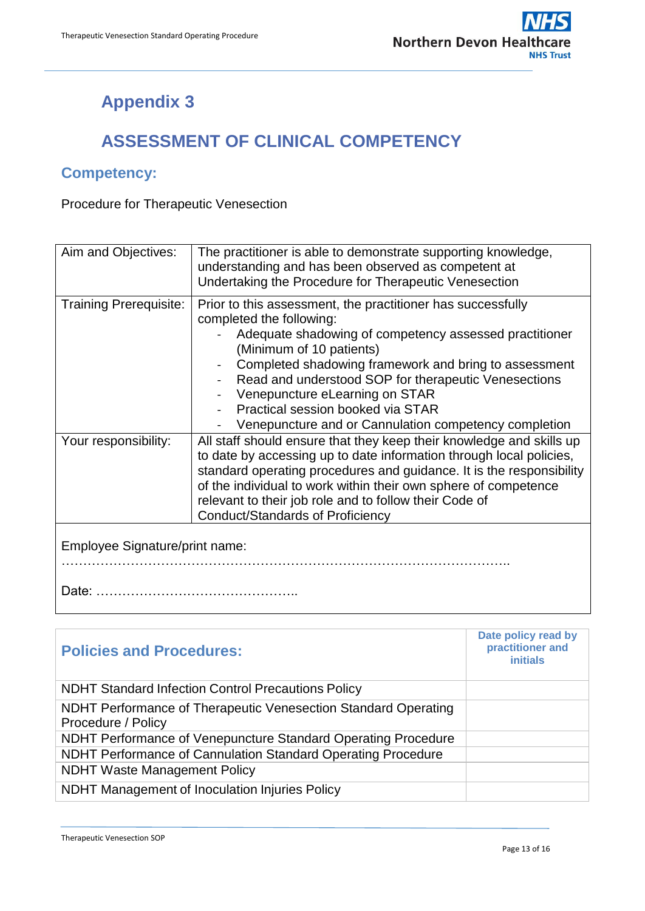## **Appendix 3**

## **ASSESSMENT OF CLINICAL COMPETENCY**

#### <span id="page-12-0"></span>**Competency:**

Procedure for Therapeutic Venesection

| Aim and Objectives:            | The practitioner is able to demonstrate supporting knowledge,<br>understanding and has been observed as competent at<br>Undertaking the Procedure for Therapeutic Venesection                                                                                                                                                                                                                                                  |  |  |  |
|--------------------------------|--------------------------------------------------------------------------------------------------------------------------------------------------------------------------------------------------------------------------------------------------------------------------------------------------------------------------------------------------------------------------------------------------------------------------------|--|--|--|
| <b>Training Prerequisite:</b>  | Prior to this assessment, the practitioner has successfully<br>completed the following:<br>Adequate shadowing of competency assessed practitioner<br>(Minimum of 10 patients)<br>Completed shadowing framework and bring to assessment<br>Read and understood SOP for therapeutic Venesections<br>Venepuncture eLearning on STAR<br>Practical session booked via STAR<br>Venepuncture and or Cannulation competency completion |  |  |  |
| Your responsibility:           | All staff should ensure that they keep their knowledge and skills up<br>to date by accessing up to date information through local policies,<br>standard operating procedures and guidance. It is the responsibility<br>of the individual to work within their own sphere of competence<br>relevant to their job role and to follow their Code of<br>Conduct/Standards of Proficiency                                           |  |  |  |
| Employee Signature/print name: |                                                                                                                                                                                                                                                                                                                                                                                                                                |  |  |  |

| <b>Policies and Procedures:</b>                                                      | Date policy read by<br>practitioner and<br><i>initials</i> |
|--------------------------------------------------------------------------------------|------------------------------------------------------------|
| <b>NDHT Standard Infection Control Precautions Policy</b>                            |                                                            |
| NDHT Performance of Therapeutic Venesection Standard Operating<br>Procedure / Policy |                                                            |
| NDHT Performance of Venepuncture Standard Operating Procedure                        |                                                            |
| NDHT Performance of Cannulation Standard Operating Procedure                         |                                                            |
| <b>NDHT Waste Management Policy</b>                                                  |                                                            |
| NDHT Management of Inoculation Injuries Policy                                       |                                                            |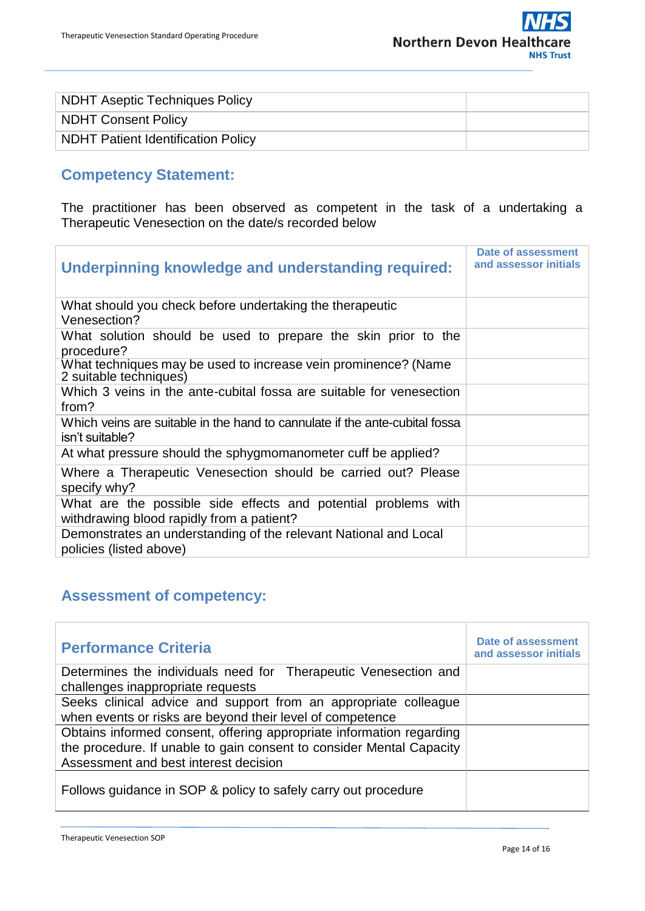

| NDHT Aseptic Techniques Policy            |  |
|-------------------------------------------|--|
| NDHT Consent Policy                       |  |
| <b>NDHT Patient Identification Policy</b> |  |

## **Competency Statement:**

The practitioner has been observed as competent in the task of a undertaking a Therapeutic Venesection on the date/s recorded below

| Underpinning knowledge and understanding required:                                                          | Date of assessment<br>and assessor initials |
|-------------------------------------------------------------------------------------------------------------|---------------------------------------------|
| What should you check before undertaking the therapeutic<br>Venesection?                                    |                                             |
| What solution should be used to prepare the skin prior to the<br>procedure?                                 |                                             |
| What techniques may be used to increase vein prominence? (Name<br>2 suitable techniques)                    |                                             |
| Which 3 veins in the ante-cubital fossa are suitable for venesection<br>from?                               |                                             |
| Which veins are suitable in the hand to cannulate if the ante-cubital fossa<br>isn't suitable?              |                                             |
| At what pressure should the sphygmomanometer cuff be applied?                                               |                                             |
| Where a Therapeutic Venesection should be carried out? Please<br>specify why?                               |                                             |
| What are the possible side effects and potential problems with<br>withdrawing blood rapidly from a patient? |                                             |
| Demonstrates an understanding of the relevant National and Local<br>policies (listed above)                 |                                             |

#### **Assessment of competency:**

| <b>Performance Criteria</b>                                                                                                                  | Date of assessment<br>and assessor initials |
|----------------------------------------------------------------------------------------------------------------------------------------------|---------------------------------------------|
| Determines the individuals need for Therapeutic Venesection and<br>challenges inappropriate requests                                         |                                             |
| Seeks clinical advice and support from an appropriate colleague                                                                              |                                             |
| when events or risks are beyond their level of competence                                                                                    |                                             |
| Obtains informed consent, offering appropriate information regarding<br>the procedure. If unable to gain consent to consider Mental Capacity |                                             |
| Assessment and best interest decision                                                                                                        |                                             |
| Follows guidance in SOP & policy to safely carry out procedure                                                                               |                                             |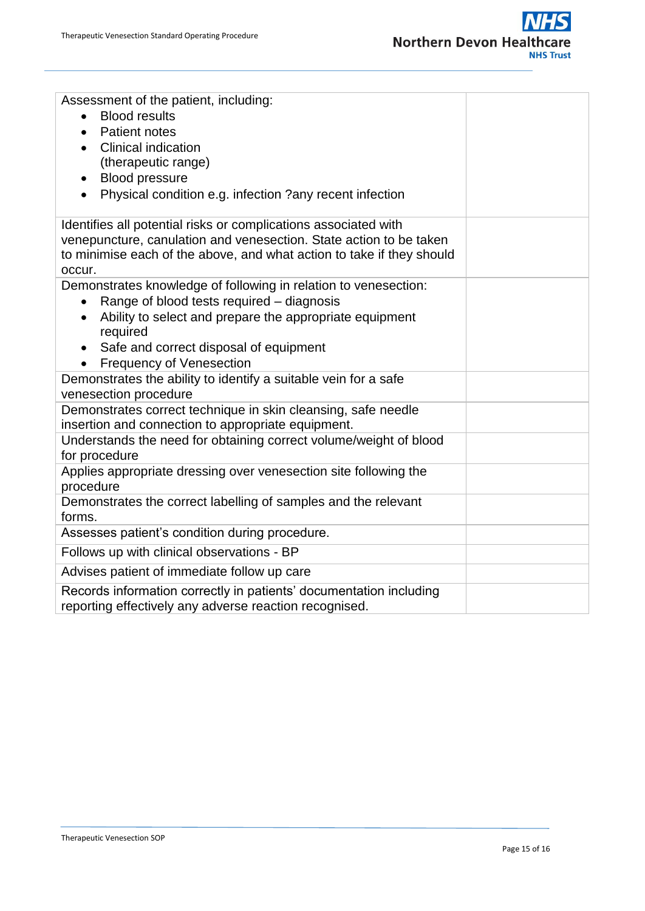

| Assessment of the patient, including:                                                                                        |  |  |  |  |  |
|------------------------------------------------------------------------------------------------------------------------------|--|--|--|--|--|
| <b>Blood results</b>                                                                                                         |  |  |  |  |  |
| <b>Patient notes</b><br>$\bullet$                                                                                            |  |  |  |  |  |
| <b>Clinical indication</b>                                                                                                   |  |  |  |  |  |
| (therapeutic range)                                                                                                          |  |  |  |  |  |
| <b>Blood pressure</b>                                                                                                        |  |  |  |  |  |
| Physical condition e.g. infection ?any recent infection<br>$\bullet$                                                         |  |  |  |  |  |
| Identifies all potential risks or complications associated with                                                              |  |  |  |  |  |
| venepuncture, canulation and venesection. State action to be taken                                                           |  |  |  |  |  |
| to minimise each of the above, and what action to take if they should<br>occur.                                              |  |  |  |  |  |
| Demonstrates knowledge of following in relation to venesection:                                                              |  |  |  |  |  |
| Range of blood tests required – diagnosis<br>$\bullet$                                                                       |  |  |  |  |  |
| Ability to select and prepare the appropriate equipment<br>$\bullet$                                                         |  |  |  |  |  |
| required                                                                                                                     |  |  |  |  |  |
| Safe and correct disposal of equipment                                                                                       |  |  |  |  |  |
| <b>Frequency of Venesection</b>                                                                                              |  |  |  |  |  |
| Demonstrates the ability to identify a suitable vein for a safe                                                              |  |  |  |  |  |
| venesection procedure                                                                                                        |  |  |  |  |  |
| Demonstrates correct technique in skin cleansing, safe needle                                                                |  |  |  |  |  |
| insertion and connection to appropriate equipment.<br>Understands the need for obtaining correct volume/weight of blood      |  |  |  |  |  |
| for procedure                                                                                                                |  |  |  |  |  |
| Applies appropriate dressing over venesection site following the                                                             |  |  |  |  |  |
| procedure                                                                                                                    |  |  |  |  |  |
| Demonstrates the correct labelling of samples and the relevant                                                               |  |  |  |  |  |
| forms.                                                                                                                       |  |  |  |  |  |
| Assesses patient's condition during procedure.                                                                               |  |  |  |  |  |
| Follows up with clinical observations - BP                                                                                   |  |  |  |  |  |
| Advises patient of immediate follow up care                                                                                  |  |  |  |  |  |
| Records information correctly in patients' documentation including<br>reporting effectively any adverse reaction recognised. |  |  |  |  |  |